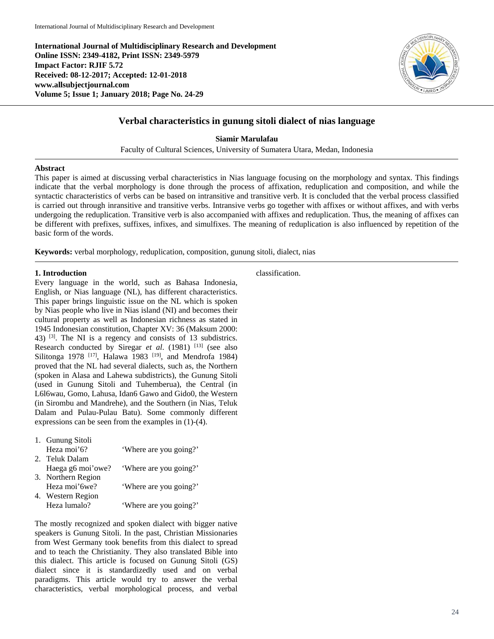**International Journal of Multidisciplinary Research and Development Online ISSN: 2349-4182, Print ISSN: 2349-5979 Impact Factor: RJIF 5.72 Received: 08-12-2017; Accepted: 12-01-2018 www.allsubjectjournal.com Volume 5; Issue 1; January 2018; Page No. 24-29**



# **Verbal characteristics in gunung sitoli dialect of nias language**

**Siamir Marulafau**

Faculty of Cultural Sciences, University of Sumatera Utara, Medan, Indonesia

# **Abstract**

This paper is aimed at discussing verbal characteristics in Nias language focusing on the morphology and syntax. This findings indicate that the verbal morphology is done through the process of affixation, reduplication and composition, and while the syntactic characteristics of verbs can be based on intransitive and transitive verb. It is concluded that the verbal process classified is carried out through inransitive and transitive verbs. Intransive verbs go together with affixes or without affixes, and with verbs undergoing the reduplication. Transitive verb is also accompanied with affixes and reduplication. Thus, the meaning of affixes can be different with prefixes, suffixes, infixes, and simulfixes. The meaning of reduplication is also influenced by repetition of the basic form of the words.

**Keywords:** verbal morphology, reduplication, composition, gunung sitoli, dialect, nias

# **1. Introduction**

Every language in the world, such as Bahasa Indonesia, English, or Nias language (NL), has different characteristics. This paper brings linguistic issue on the NL which is spoken by Nias people who live in Nias island (NI) and becomes their cultural property as well as Indonesian richness as stated in 1945 Indonesian constitution, Chapter XV: 36 (Maksum 2000: 43)  $^{[3]}$ . The NI is a regency and consists of 13 subdistrics. Research conducted by Siregar *et al.* (1981) <sup>[13]</sup> (see also Silitonga 1978 <sup>[17]</sup>, Halawa 1983 <sup>[19]</sup>, and Mendrofa 1984) proved that the NL had several dialects, such as, the Northern (spoken in Alasa and Lahewa subdistricts), the Gunung Sitoli (used in Gunung Sitoli and Tuhemberua), the Central (in L6l6wau, Gomo, Lahusa, Idan6 Gawo and Gido0, the Western (in Sirombu and Mandrehe), and the Southern (in Nias, Teluk Dalam and Pulau-Pulau Batu). Some commonly different expressions can be seen from the examples in (1)-(4).

| 1. Gunung Sitoli   |                        |
|--------------------|------------------------|
| Heza moi'6?        | 'Where are you going?' |
| 2. Teluk Dalam     |                        |
| Haega g6 moi'owe?  | 'Where are you going?' |
| 3. Northern Region |                        |
| Heza moi' 6we?     | 'Where are you going?' |
| 4. Western Region  |                        |
| Heza lumalo?       | 'Where are you going?' |
|                    |                        |

The mostly recognized and spoken dialect with bigger native speakers is Gunung Sitoli. In the past, Christian Missionaries from West Germany took benefits from this dialect to spread and to teach the Christianity. They also translated Bible into this dialect. This article is focused on Gunung Sitoli (GS) dialect since it is standardizedly used and on verbal paradigms. This article would try to answer the verbal characteristics, verbal morphological process, and verbal

classification.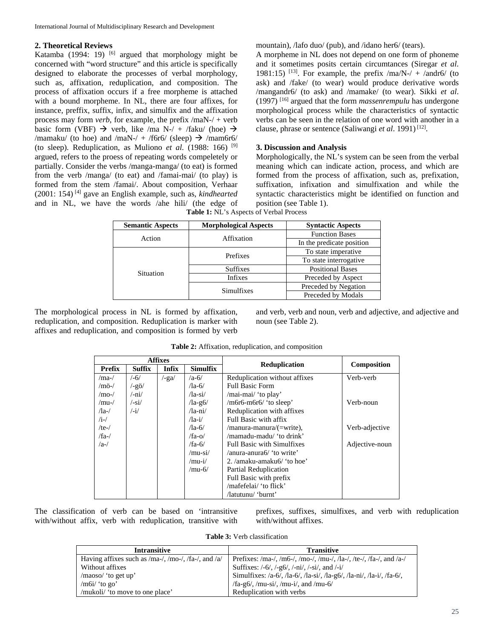# **2. Theoretical Reviews**

Katamba (1994: 19)  $[6]$  argued that morphology might be concerned with "word structure" and this article is specifically designed to elaborate the processes of verbal morphology, such as, affixation, reduplication, and composition. The process of affixation occurs if a free morpheme is attached with a bound morpheme. In NL, there are four affixes, for instance, preffix, suffix, infix, and simulfix and the affixation process may form *verb*, for example, the prefix /maN-/ + verb basic form (VBF)  $\rightarrow$  verb, like /ma N-/ + /faku/ (hoe)  $\rightarrow$ /mamaku/ (to hoe) and /maN-/ + /f6r6/ (sleep)  $\rightarrow$  /mam6r6/ (to sleep). Reduplication, as Muliono *et al*. (1988: 166) [9] argued, refers to the proess of repeating words compeletely or partially. Consider the verbs /manga-manga/ (to eat) is formed from the verb /manga/ (to eat) and /famai-mai/ (to play) is formed from the stem /famai/. About composition, Verhaar (2001: 154) [4] gave an English example, such as, *kindhearted* and in NL, we have the words /ahe hili/ (the edge of **Table 1:** NL's Aspects of Verbal Process

mountain), /lafo duo/ (pub), and /idano her6/ (tears).

A morpheme in NL does not depend on one form of phoneme and it sometimes posits certain circumtances (Siregar *et al*. 1981:15) <sup>[13]</sup>. For example, the prefix  $/$ ma/N- $/$  +  $/$ andr6 $/$  (to ask) and /fake/ (to wear) would produce derivative words /mangandr6/ (to ask) and /mamake/ (to wear). Sikki *et al*. (1997) [16] argued that the form *massenrempulu* has undergone morphological process while the characteristics of syntactic verbs can be seen in the relation of one word with another in a clause, phrase or sentence (Saliwangi et al. 1991)<sup>[12]</sup>.

# **3. Discussion and Analysis**

Morphologically, the NL's system can be seen from the verbal meaning which can indicate action, process, and which are formed from the process of affixation, such as, prefixation, suffixation, infixation and simulfixation and while the syntactic characteristics might be identified on function and position (see Table 1).

| <b>Semantic Aspects</b> | <b>Morphological Aspects</b> | <b>Syntactic Aspects</b>  |  |
|-------------------------|------------------------------|---------------------------|--|
| Action                  | Affixation                   | <b>Function Bases</b>     |  |
|                         |                              | In the predicate position |  |
|                         | Prefixes                     | To state imperative       |  |
|                         |                              | To state interrogative    |  |
| <b>Situation</b>        | <b>Suffixes</b>              | <b>Positional Bases</b>   |  |
|                         | <b>Infixes</b>               | Preceded by Aspect        |  |
|                         | Simulfixes                   | Preceded by Negation      |  |
|                         |                              | Preceded by Modals        |  |

The morphological process in NL is formed by affixation, reduplication, and composition. Reduplication is marker with affixes and reduplication, and composition is formed by verb and verb, verb and noun, verb and adjective, and adjective and noun (see Table 2).

|                         |                      | <b>Affixes</b> |                    | Composition                                         |                |
|-------------------------|----------------------|----------------|--------------------|-----------------------------------------------------|----------------|
| <b>Prefix</b>           | Suffix               | <b>Infix</b>   | <b>Simulfix</b>    | <b>Reduplication</b>                                |                |
| $/ma-$                  | $/-6/$               | $/$ -ga $/$    | $/a-6/$            | Reduplication without affixes                       | Verb-verb      |
| $/m\ddot{o}$ -/         | $\frac{1}{2}$        |                | $\sqrt{a} - 6$     | <b>Full Basic Form</b>                              |                |
| $/$ mo- $/$             | $/$ -ni $/$          |                | $\sqrt{a} - si$    | /mai-mai/ 'to play'                                 |                |
| $/mu$ -/                | $/-\sin/$            |                | $\sqrt{a}$ -g $6/$ | /m6r6-m6r6/ 'to sleep'                              | Verb-noun      |
| $\sqrt{a}$ - $\sqrt{a}$ | $\frac{1}{\sqrt{2}}$ |                | $/$ la-ni $/$      | Reduplication with affixes                          |                |
| $/i$ -/                 |                      |                | $\sqrt{a}-i$       | Full Basic with affix                               |                |
| /te- $/$                |                      |                | $\sqrt{a} - 6$     | /manura-manura/(=write),                            | Verb-adjective |
| $/fa$ - $/$             |                      |                | $/fa-O/$           | /mamadu-madu/ 'to drink'                            |                |
| $/a$ -/                 |                      |                | $/fa-6/$           | <b>Full Basic with Simulfixes</b><br>Adjective-noun |                |
|                         |                      |                | /mu-si/            | /anura-anura6/ 'to write'                           |                |
|                         |                      |                | /mu-i/             | 2. /amaku-amaku6/ 'to hoe'                          |                |
|                         |                      |                | $/mu-6/$           | Partial Reduplication                               |                |
|                         |                      |                |                    | Full Basic with prefix                              |                |
|                         |                      |                |                    | /mafefelai/ 'to flick'                              |                |
|                         |                      |                |                    | /latutunu/ 'burnt'                                  |                |

**Table 2:** Affixation, reduplication, and composition

The classification of verb can be based on 'intransitive with/without affix, verb with reduplication, transitive with prefixes, suffixes, simulfixes, and verb with reduplication with/without affixes.

**Table 3:** Verb classification

| <b>Intransitive</b>                                 | <b>Transitive</b>                                                     |
|-----------------------------------------------------|-----------------------------------------------------------------------|
| Having affixes such as /ma-/, /mo-/, /fa-/, and /a/ | Prefixes: /ma-/, /m6-/, /mo-/, /mu-/, /la-/, /te-/, /fa-/, and /a-/   |
| Without affixes                                     | Suffixes: $/ -6/$ , $/ -96/$ , $/ -ni/$ , $/ -si/$ , and $/ -i/$      |
| /maoso/ 'to get up'                                 | Simulfixes: /a-6/, /la-6/, /la-si/, /la-g6/, /la-ni/, /la-i/, /fa-6/, |
| /m6i/ 'to go'                                       | /fa-g6/, /mu-si/, /mu-i/, and /mu-6/                                  |
| /mukoli/ 'to move to one place'                     | Reduplication with verbs                                              |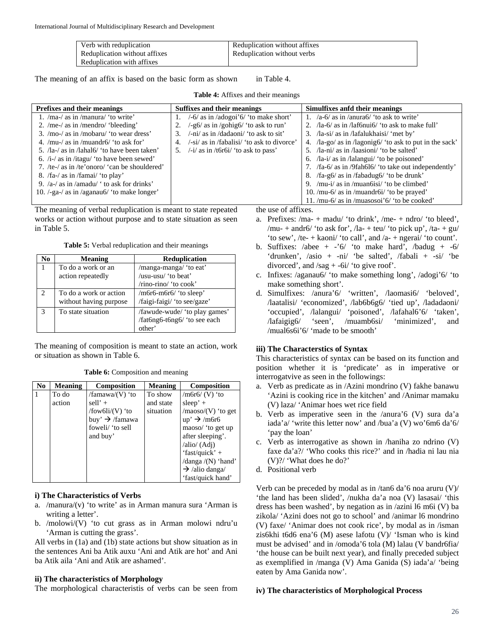| Verb with reduplication       | Reduplication without affixes |
|-------------------------------|-------------------------------|
| Reduplication without affixes | Reduplication without verbs   |
| Reduplication with affixes    |                               |

The meaning of an affix is based on the basic form as shown in Table 4.

**Prefixes and their meanings Suffixes and their meanings Simulfixes and their meanings** 1. /ma-/ as in /manura/ 'to write' 2. /me-/ as in /mendro/ 'bleeding' 3. /mo-/ as in /mobaru/ 'to wear dress' 4. /mu-/ as in /muandr6/ 'to ask for' 5. /la-/ as in /lahal6/ 'to have been taken' 6. /i-/ as in /itagu/ 'to have been sewed' 7. /te-/ as in /te'onoro/ 'can be shouldered' 8. /fa-/ as in /famai/ 'to play' 9. /a-/ as in /amadu/ ' to ask for drinks' 10. /-ga-/ as in /aganau6/ 'to make longer' 1. /-6/ as in /adogoi'6/ 'to make short' 2. /-g6/ as in /gohig6/ 'to ask to run' 3. /-ni/ as in /dadaoni/ 'to ask to sit' 4. /-si/ as in /fabalisi/ 'to ask to divorce' 5. /-i/ as in /t6r6i/ 'to ask to pass' 1. /a-6/ as in /anura6/ 'to ask to write' 2. /la-6/ as in /laf6nui6/ 'to ask to make full' 3. /la-si/ as in /lafalukhaisi/ 'met by' 4. /la-go/ as in /lagonig6/ 'to ask to put in the sack' 5. /la-ni/ as in /laasioni/ 'to be salted' 6. /la-i/ as in /lalangui/ 'to be poisoned' 7. /fa-6/ as in /9fah6l6/ 'to take out independently' 8. /fa-g6/ as in /fabadug6/ 'to be drunk' 9. /mu-i/ as in /muan6isi/ 'to be climbed' 10. /mu-6/ as in /muandr6i/ 'to be prayed' 11. /mu-6/ as in /muasosoi'6/ 'to be cooked'

**Table 4:** Affixes and their meanings

The meaning of verbal reduplication is meant to state repeated works or action without purpose and to state situation as seen in Table 5.

**Table 5:** Verbal reduplication and their meanings

| No                          | <b>Meaning</b>         | <b>Reduplication</b>          |  |  |
|-----------------------------|------------------------|-------------------------------|--|--|
| 1                           | To do a work or an     | /manga-manga/ 'to eat'        |  |  |
|                             | action repeatedly      | /usu-usu/ 'to beat'           |  |  |
|                             |                        | /rino-rino/ 'to cook'         |  |  |
| $\mathcal{D}_{\mathcal{A}}$ | To do a work or action | /m6r6-m6r6/ 'to sleep'        |  |  |
|                             | without having purpose | /faigi-faigi/ 'to see/gaze'   |  |  |
| $\mathbf 3$                 | To state situation     | /fawude-wude/ 'to play games' |  |  |
|                             |                        | /fat6ng6-t6ng6/ 'to see each  |  |  |
|                             |                        | other'                        |  |  |

The meaning of composition is meant to state an action, work or situation as shown in Table 6.

|  | Table 6: Composition and meaning |  |
|--|----------------------------------|--|
|  |                                  |  |

| No | <b>Meaning</b> | Composition                | <b>Meaning</b> | Composition                |
|----|----------------|----------------------------|----------------|----------------------------|
|    | To do          | /famawa/ $(V)$ 'to         | To show        | $/m$ 6r 6/ (V) 'to         |
|    | action         | sell' $+$                  | and state      | $sleep' +$                 |
|    |                | /fow6li/(V) 'to            | situation      | $/$ maoso $/$ (V) 'to get  |
|    |                | buy' $\rightarrow$ /famawa |                | $up' \rightarrow /m6r6$    |
|    |                | foweli/ 'to sell           |                | maoso/ 'to get up          |
|    |                | and buy'                   |                | after sleeping'.           |
|    |                |                            |                | /alio/ (Adj)               |
|    |                |                            |                | 'fast/quick' +             |
|    |                |                            |                | /danga $/(N)$ 'hand'       |
|    |                |                            |                | $\rightarrow$ /alio danga/ |
|    |                |                            |                | 'fast/quick hand'          |

# **i) The Characteristics of Verbs**

- a. /manura/ $(v)$  'to write' as in Arman manura sura 'Arman is writing a letter'.
- b. /molowi/(V) 'to cut grass as in Arman molowi ndru'u 'Arman is cutting the grass'.

All verbs in (1a) and (1b) state actions but show situation as in the sentences Ani ba Atik auxu 'Ani and Atik are hot' and Ani ba Atik aila 'Ani and Atik are ashamed'.

# **ii) The characteristics of Morphology**

The morphological characteristis of verbs can be seen from

the use of affixes.

- a. Prefixes:  $/ma$  + madu $/$  'to drink',  $/me$  + ndro $/$  'to bleed', /mu- + andr6/ 'to ask for', /la- + teu/ 'to pick up', /ta- + gu/ 'to sew', /te- + kaoni/ 'to call', and /a- + ngerai/ 'to count'.
- b. Suffixes: /abee +  $-6/$  'to make hard', /badug +  $-6/$ 'drunken', /asio + -ni/ 'be salted', /fabali + -si/ 'be divorced', and  $/sag + -6i'$  'to give roof'.
- c. Infixes: /aganau6/ 'to make something long', /adogi'6/ 'to make something short'.
- d. Simulfixes: /anura'6/ 'written', /laomasi6/ 'beloved', /laatalisi/ 'economized', /lab6b6g6/ 'tied up', /ladadaoni/ 'occupied', /lalangui/ 'poisoned', /lafahal6'6/ 'taken', /lafaigig6/ 'seen', /muamb6si/ 'minimized', and /mual6s6i'6/ 'made to be smooth'

# **iii) The Characterstics of Syntax**

This characteristics of syntax can be based on its function and position whether it is 'predicate' as in imperative or interrogatvive as seen in the followings:

- a. Verb as predicate as in /Azini mondrino (V) fakhe banawu 'Azini is cooking rice in the kitchen' and /Animar mamaku (V) laza/ 'Animar hoes wet rice field
- b. Verb as imperative seen in the /anura'6 (V) sura da'a iada'a/ 'write this letter now' and /bua'a (V) wo'6m6 da'6/ 'pay the loan'
- c. Verb as interrogative as shown in /haniha zo ndrino (V) faxe da'a?/ 'Who cooks this rice?' and in /hadia ni lau nia (V)?/ 'What does he do?'
- d. Positional verb

Verb can be preceded by modal as in /tan6 da'6 noa aruru (V)/ 'the land has been slided', /nukha da'a noa (V) lasasai/ 'this dress has been washed', by negation as in /azini l6 m6i (V) ba zikola/ 'Azini does not go to school' and /animar l6 mondrino (V) faxe/ 'Animar does not cook rice', by modal as in /isman zis6khi t6d6 ena'6 (M) asese lafotu (V)/ 'Isman who is kind must be advised' and in /omoda'6 tola (M) lalau (V bandr6fia/ 'the house can be built next year), and finally preceded subject as exemplified in /manga (V) Ama Ganida (S) iada'a/ 'being eaten by Ama Ganida now'.

# **iv) The characteristics of Morphological Process**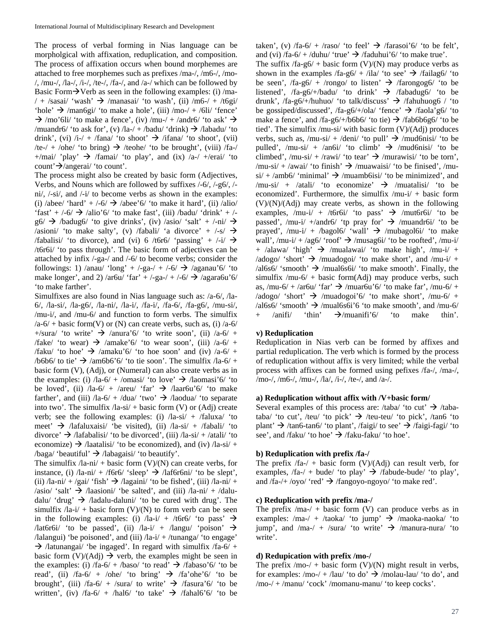The process of verbal forming in Nias language can be morpholgical with affixation, reduplication, and composition. The process of affixation occurs when bound morphemes are attached to free morphemes such as prefixes /ma-/, /m6-/, /mo-  $/$ , /mu-/, /la-/, /i-/, /te-/, /fa-/, and /a-/ which can be followed by Basic Form $\rightarrow$ Verb as seen in the following examples: (i) /ma- $/ +$  /sasai/ 'wash'  $\rightarrow$  /manasai/ 'to wash', (ii) /m6-/ + /t6gi/ 'hole'  $\rightarrow$  /man6gi/ 'to make a hole', (iii) /mo-/ + /6li/ 'fence'  $\rightarrow$  /mo'6li/ 'to make a fence', (iv) /mu-/ + /andr6/ 'to ask'  $\rightarrow$ /muandr6/ 'to ask for', (v) /la-/ + /badu/ 'drink)  $\rightarrow$  /labadu/ 'to drink', (vi) /i-/ + /fana/ 'to shoot'  $\rightarrow$  /ifana/ 'to shoot', (vii) /te-/ + /ohe/ 'to bring)  $\rightarrow$  /teohe/ 'to be brought', (viii) /fa-/ +/mai/ 'play'  $\rightarrow$  /famai/ 'to play', and (ix) /a-/ +/erai/ 'to count' $\rightarrow$ /angerai/ 'to count'.

The process might also be created by basic form (Adjectives, Verbs, and Nouns which are followed by suffixes /-6/, /-g6/, / ni/, /-si/, and /-i/ to become verbs as shown in the examples: (i) /abee/ 'hard' + /-6/  $\rightarrow$  /abee'6/ 'to make it hard', (ii) /alio/ 'fast' +  $/-6/$   $\rightarrow$  /alio'6/ 'to make fast', (iii) /badu/ 'drink' +  $/$  $g6/ \rightarrow$  /badug6/ 'to give drinks', (iv) /asio/ 'salt' + /-ni/  $\rightarrow$ /asioni/ 'to make salty', (v) /fabali/ 'a divorce' +  $\rightarrow$  /-s/  $\rightarrow$ /fabalisi/ 'to divorce), and (vi) 6 /t6r6/ 'passing' + /-i/  $\rightarrow$ /t6r6i/ 'to pass through'. The basic form of adjectives can be attached by infix /-ga-/ and /-6/ to become verbs; consider the followings: 1) /anau/ 'long' + /-ga-/ + /-6/  $\rightarrow$  /aganau'6/ 'to make longer', and 2) /ar6u/ 'far' +  $\frac{\text{log}1}{\text{log}1}$  +  $\frac{\text{log}1}{\text{log}1}$  /agara6u'6/ 'to make farther'.

Simulfixes are also found in Nias language such as: /a-6/, /la-6/, /la-si/, /la-g6/, /la-ni/, /la-i/, /fa-i/, /fa-6/, /fa-g6/, /mu-si/, /mu-i/, and /mu-6/ and function to form verbs. The simulfix  $a-6$  + basic form(V) or (N) can create verbs, such as, (i)  $a-6$ +/sura/ 'to write'  $\rightarrow$  /anura'6/ 'to write soon', (ii) /a-6/ + /fake/ 'to wear)  $\rightarrow$  /amake'6/ 'to wear soon', (iii) /a-6/ + /faku/ 'to hoe'  $\rightarrow$  /amaku'6/ 'to hoe soon' and (iv) /a-6/ + /b6b6/ to tie'  $\rightarrow$  /am6b6'6/ 'to tie soon'. The simulfix /la-6/ + basic form (V), (Adj), or (Numeral) can also create verbs as in the examples: (i)  $/1a-6/ + /0$  masi/ 'to love'  $\rightarrow$  /laomasi'6/ 'to be loved', (ii)  $/|a-6| + /|a e|$  'far'  $\rightarrow$   $/|a a f u' 6|$  'to make farther', and (iii)  $\sqrt{a}-6$  +  $\sqrt{d}ua'$  'two'  $\rightarrow$   $\sqrt{d}a$   $\sqrt{d}a$ ' to separate into two'. The simulfix  $/|a-si| + basic$  form (V) or (Adj) create verb; see the following examples: (i)  $/la-si/ + /faluxa/$  'to meet'  $\rightarrow$  /lafaluxaisi/ 'be visited), (ii) /la-si/ + /fabali/ 'to divorce'  $\rightarrow$  /lafabalisi/ 'to be divorced', (iii) /la-si/ + /atali/ 'to economize)  $\rightarrow$  /laatalisi/ 'to be economized), and (iv) /la-si/ + /baga/ 'beautiful'  $\rightarrow$  /labagaisi/ 'to beautify'.

The simulfix  $/2a-ni/ + basic form (V)/(N)$  can create verbs, for instance, (i)  $/$ la-ni $/$  +  $/$ f6r6 $/$  'sleep'  $\rightarrow$   $/$ laf6r6ni $/$  'to be slept', (ii)  $/$ la-ni $/$  +  $/$ gai $/$  'fish'  $\rightarrow$   $/$ lagaini $/$  'to be fished', (iii)  $/$ la-ni $/$  + /asio/ 'salt'  $\rightarrow$  /laasioni/ 'be salted', and (iii) /la-ni/ + /daludalu/ 'drug'  $\rightarrow$  /ladalu-daluni/ 'to be cured with drug'. The simulfix  $/|a-i| + basic form (V)/(N)$  to form verb can be seen in the following examples: (i)  $/|a-i| + /t6r6/$  'to pass'  $\rightarrow$ /lat6r6i/ 'to be passed', (ii) /la-i/ + /langu/ 'poison'  $\rightarrow$ /lalangui) 'be poisoned', and (iii)  $/|a-i| + / \text{tunang}$  'to engage'  $\rightarrow$  /latunangai/ 'be ingaged'. In regard with simulfix /fa-6/ + basic form  $(V)/(Adj) \rightarrow$  verb, the examples might be seen in the examples: (i)  $f$ a-6/ + /baso/ 'to read'  $\rightarrow$  /fabaso'6/ 'to be read', (ii) /fa-6/ + /ohe/ 'to bring'  $\rightarrow$  /fa'ohe'6/ 'to be brought', (iii) /fa-6/ + /sura/ to write'  $\rightarrow$  /fasura'6/ 'to be written', (iv)  $/fa-6/ + /hal6/$  'to take'  $\rightarrow$  /fahal6'6/ 'to be

taken', (v) /fa-6/ + /raso/ 'to feel'  $\rightarrow$  /farasoi'6/ 'to be felt', and (vi)  $/fa-6/$  + /duhu/ 'true'  $\rightarrow$  /faduhui'6/ 'to make true'.

The suffix  $f_a-g_0/ + b_a$  form  $(V)/(N)$  may produce verbs as shown in the examples /fa-g6/ + /ila/ 'to see'  $\rightarrow$  /failag6/ 'to be seen', /fa-g6/ + /rongo/ to listen' /farongog6/ 'to be listened', /fa-g6/+/badu/ 'to drink'  $\rightarrow$  /fabadug6/ 'to be drunk', /fa-g6/+/huhuo/ 'to talk/discuss'  $\rightarrow$  /fahuhuog6 / 'to be gossiped/discussed', /fa-g6/+/ola/ 'fence'  $\rightarrow$  /faola'g6/ 'to make a fence', and /fa-g6/+/b6b6/ 'to tie)  $\rightarrow$  /fab6b6g6/ 'to be tied'. The simulfix /mu-si/ with basic form (V)/(Adj) produces verbs, such as, /mu-si/ + /deni/ 'to pull'  $\rightarrow$  /mud6nisi/ 'to be pulled', /mu-si/ + /an6i/ 'to climb'  $\rightarrow$  /mud6nisi/ 'to be climbed', /mu-si/ + /rawi/ 'to tear'  $\rightarrow$  /murawisi/ 'to be torn', /mu-si/ + /awai/ 'to finish'  $\rightarrow$  /muawaisi/ 'to be finised', /mu $si' + \langle amb6' \rangle$  'minimal'  $\rightarrow$  /muamb6isi/ 'to be minimized', and /mu-si/ + /atali/ 'to economize'  $\rightarrow$  /muatalisi/ 'to be economized'. Furthermore, the simulfix /mu-i/ + basic form  $(V)/(N)/(Adj)$  may create verbs, as shown in the following examples,  $/mu-i/ + /t6r6i/$  'to pass'  $\rightarrow$  /mut6r6i/ 'to be passed', /mu-i/ +/andr6/ 'tp pray for'  $\rightarrow$  /muandr6i/ 'to be prayed', /mu-i/ + /bagol6/ 'wall'  $\rightarrow$  /mubagol6i/ 'to make wall', /mu-i/ + /ag6/ 'roof'  $\rightarrow$  /musag6i/ 'to be roofted', /mu-i/ + /alawa/ 'high'  $\rightarrow$  /mualawai/ 'to make high', /mu-i/ + /adogo/ 'short'  $\rightarrow$  /muadogoi/ 'to make short', and /mu-i/ +  $\lambda$ al6s6/ 'smooth'  $\rightarrow$  /mual6s6i/ 'to make smooth'. Finally, the simulfix /mu-6/ + basic form $(Adj)$  may produce verbs, such as, /mu-6/ + /ar6u/ 'far'  $\rightarrow$  /muar6u'6/ 'to make far', /mu-6/ + /adogo/ 'short'  $\rightarrow$  /muadogoi'6/ 'to make short', /mu-6/ +  $\lambda$ al6s6/ 'smooth'  $\rightarrow$  /mual6s6i'6 'to make smooth', and /mu-6/  $\lambda$ anifi/ 'thin'  $\rightarrow$ /muanifi'6/ 'to make thin'.

# **v) Reduplication**

Reduplication in Nias verb can be formed by affixes and partial reduplication. The verb which is formed by the process of reduplication without affix is very limited; while the verbal process with affixes can be formed using pefixes /fa-/, /ma-/, /mo-/, /m6-/, /mu-/, /la/, /i-/, /te-/, and /a-/.

### **a) Reduplication without affix with /V+basic form/**

Several examples of this process are: /taba/ 'to cut'  $\rightarrow$  /tabataba/ 'to cut', /teu/ 'to pick'  $\rightarrow$  /teu-teu/ 'to pick', /tan6 'to plant'  $\rightarrow$  /tan6-tan6/ 'to plant', /faigi/ to see'  $\rightarrow$  /faigi-fagi/ 'to see', and /faku/ 'to hoe'  $\rightarrow$  /faku-faku/ 'to hoe'.

# **b) Reduplication with prefix /fa-/**

The prefix  $/fa-/-$  basic form  $(V)/(Adj)$  can result verb, for examples,  $/fa-/-$  bude/ 'to play'  $\rightarrow$  /fabude-bude/ 'to play', and  $f\hat{a}$ -/+ /oyo/ 'red'  $\rightarrow$  /fangoyo-ngoyo/ 'to make red'.

### **c) Reduplication with prefix /ma-/**

The prefix  $/ma-/ + basic form (V) can produce verbs as in$ examples: /ma-/ + /taoka/ 'to jump'  $\rightarrow$  /maoka-naoka/ 'to jump', and /ma-/ + /sura/ 'to write'  $\rightarrow$  /manura-nura/ 'to write'.

#### **d) Redupication with prefix /mo-/**

The prefix  $/$ mo- $/$  + basic form (V $)/$ (N) might result in verbs, for examples: /mo-/ + /lau/ 'to do'  $\rightarrow$  /molau-lau/ 'to do', and /mo-/ + /manu/ 'cock' /momanu-manu/ 'to keep cocks'.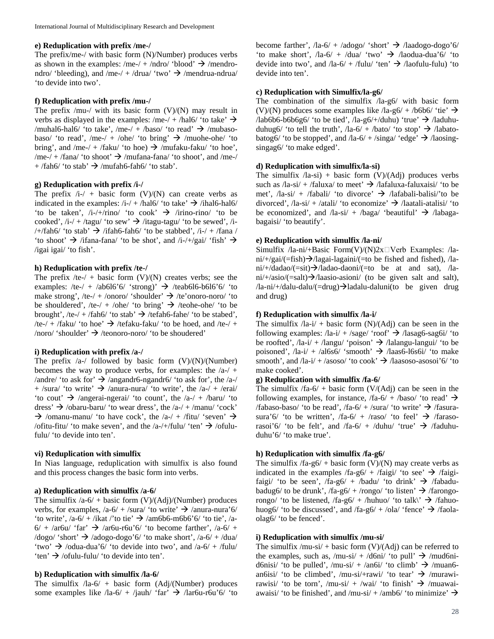# **e) Reduplication with prefix /me-/**

The prefix/me-/ with basic form (N)/Number) produces verbs as shown in the examples: /me-/ + /ndro/ 'blood'  $\rightarrow$  /mendrondro/ 'bleeding), and /me-/ + /drua/ 'two'  $\rightarrow$  /mendrua-ndrua/ 'to devide into two'.

### **f) Reduplication with prefix /mu-/**

The prefix /mu-/ with its basic form  $(V)/(N)$  may result in verbs as displayed in the examples: /me-/ + /hal6/ 'to take'  $\rightarrow$ /muhal6-hal6/ 'to take', /me-/ + /baso/ 'to read'  $\rightarrow$  /mubasobaso/ 'to read', /me-/ + /ohe/ 'to bring'  $\rightarrow$  /muohe-ohe/ 'to bring', and /me-/ + /faku/ 'to hoe)  $\rightarrow$  /mufaku-faku/ 'to hoe', /me-/ + /fana/ 'to shoot'  $\rightarrow$  /mufana-fana/ 'to shoot', and /me-/  $+$  /fah6/ 'to stab'  $\rightarrow$  /mufah6-fah6/ 'to stab'.

### **g) Reduplication with prefix /i-/**

The prefix  $/i$ - $/ + b$ asic form (V)/(N) can create verbs as indicated in the examples:  $/i$ -/ + /hal6/ 'to take'  $\rightarrow$  /ihal6-hal6/ 'to be taken',  $/i$ -/+/rino/ 'to cook'  $\rightarrow$  /irino-rino/ 'to be cooked',  $/i$ -/ + /tagu/ 'to sew'  $\rightarrow$  /itagu-tagu/ 'to be sewed', /i-/+/fah6/ 'to stab'  $\rightarrow$  /ifah6-fah6/ 'to be stabbed', /i-/ + /fana / 'to shoot'  $\rightarrow$  /ifana-fana/ 'to be shot', and /i-/+/gai/ 'fish'  $\rightarrow$ /igai igai/ 'to fish'.

### **h) Reduplication with prefix /te-/**

The prefix  $/te$  + basic form (V)/(N) creates verbs; see the examples: /te-/ + /ab6l6'6/ 'strong)'  $\rightarrow$  /teab6l6-b6l6'6/ 'to make strong', /te-/ + /onoro/ 'shoulder'  $\rightarrow$  /te'onoro-noro/ 'to be shouldered', /te-/ + /ohe/ 'to bring'  $\rightarrow$  /teohe-ohe/ 'to be brought', /te-/ + /fah6/ 'to stab'  $\rightarrow$  /tefah6-fahe/ 'to be stabed', /te-/ + /faku/ 'to hoe'  $\rightarrow$  /tefaku-faku/ 'to be hoed, and /te-/ + /noro/ 'shoulder'  $\rightarrow$  /teonoro-noro/ 'to be shoudered'

# **i) Reduplication with prefix /a-/**

The prefix  $/a$ -/ followed by basic form  $(V)/(N)/(Number)$ becomes the way to produce verbs, for examples: the  $/a$ -/ + /andre/ 'to ask for'  $\rightarrow$  /angandr6-ngandr6/ 'to ask for', the /a-/ + /sura/ 'to write'  $\rightarrow$  /anura-nura/ 'to write', the /a-/ + /erai/ 'to cout'  $\rightarrow$  /angerai-ngerai/ 'to count', the /a-/ + /baru/ 'to dress'  $\rightarrow$  /obaru-baru/ 'to wear dress', the /a-/ + /manu/ 'cock'  $\rightarrow$  /omanu-manu/ 'to have cock', the /a-/ + /fitu/ 'seven'  $\rightarrow$ /ofitu-fitu/ 'to make seven', and the /a-/+/fulu/ 'ten'  $\rightarrow$  /ofulufulu/ 'to devide into ten'.

#### **vi) Reduplication with simulfix**

In Nias language, reduplication with simulfix is also found and this process changes the basic form into verbs.

### **a) Reduplication with simulfix /a-6/**

The simulfix  $\sqrt{a-6}$  + basic form (V)/(Adj)/(Number) produces verbs, for examples,  $/a-6/ +$ /sura/ 'to write'  $\rightarrow$  /anura-nura'6/ 'to write',  $/a$ -6/ + /ikat /'to tie'  $\rightarrow$  /am6b6-m6b6'6/ 'to tie', /a- $6/ + /ar6u'$  'far'  $\rightarrow$  /ar6u-r6u'6/ 'to become farther', /a-6/ +  $\log_0$  'short'  $\rightarrow$  /adogo-dogo'6/ 'to make short', /a-6/ + /dua/ 'two'  $\rightarrow$  /odua-dua'6/ 'to devide into two', and /a-6/ + /fulu/ 'ten'  $\rightarrow$  /ofulu-fulu/ 'to devide into ten'.

#### **b) Reduplication with simulfix /la-6/**

The simulfix  $/4a-6/ + basic form (Adj/(Number) produces$ some examples like  $/|a-6| + /|a + 6|$  'far'  $\rightarrow$   $/|ar6u-r6u'6|$  'to become farther',  $/$ la-6 $/$  +  $/$ adogo $/$  'short'  $\rightarrow$   $/$ laadogo-dogo'6 $/$ 'to make short',  $/|a-6| + /du$ a $/$ 'two'  $\rightarrow$   $/$ laodua-dua'6 $/$ 'to devide into two', and  $\sqrt{a^2 - 6}$  + /fulu/ 'ten'  $\rightarrow$  /laofulu-fulu) 'to devide into ten'.

### **c) Reduplication with Simulfix/la-g6/**

The combination of the simulfix /la-g6/ with basic form (V)/(N) produces some examples like  $\text{Ia-g6}$  + /b6b6/ 'tie'  $\rightarrow$  $\lambda$ lab6b6-b6b6g6/ 'to be tied',  $\lambda$ la-g6/+/duhu) 'true'  $\rightarrow \lambda$ laduhuduhug6/ 'to tell the truth', /la-6/ + /bato/ 'to stop'  $\rightarrow$  /labatobatog6/ 'to be stopped', and  $\text{/la-6}/ + \text{/sing}$  'edge'  $\rightarrow$  /laosingsingag6/ 'to make edged'.

### **d) Reduplication with simulfix/la-si)**

The simulfix  $/$ la-si) + basic form  $(V)/(Adj)$  produces verbs such as  $\lambda$ la-si $/ + \lambda$ faluxa $\lambda$  to meet'  $\rightarrow \lambda$  /lafaluxa-faluxaisi/ 'to be met',  $/4a-si' + /fabali'$  'to divorce'  $\rightarrow$  /lafabali-balisi<sup>'</sup> to be divorced', /la-si/ + /atali/ 'to economize'  $\rightarrow$  /laatali-atalisi/ 'to be economized', and  $/$ la-si $/$  +  $/$ baga $/$  'beautiful'  $\rightarrow$   $/$ labagabagaisi/ 'to beautify'.

### **e) Reduplication with simulfix /la-ni/**

Simulfix /la-ni/+Basic Form(V)/(N)2x $\Box$ Verb Examples: /la $ni/+/gai/ (=fish) \rightarrow /lagai-lagaini/ (=to be fished and fished), /la$  $ni/+/dadao/(=sit) \rightarrow /ladao-daoni/(=to be at and sat), /la$ ni/+/asio/(=salt) $\rightarrow$ /laasio-asioni/ (to be given salt and salt),  $\lambda$ la-ni/+/dalu-dalu/(=drug) $\rightarrow$ ladalu-daluni(to be given drug and drug)

# **f) Reduplication with simulfix /la-i/**

The simulfix  $/|a-i| +$  basic form  $(N)/(Ad)$  can be seen in the following examples:  $/la-i/ + /sage/ 'roof' \rightarrow /lasag6-sag6i/ 'to$ be roofted',  $/|a-i| + /$ langu/ 'poison'  $\rightarrow$  /lalangu-langui/ 'to be poisoned',  $\sqrt{a}-i$  +  $\sqrt{a}\sqrt{b}$  'smooth'  $\rightarrow$   $\sqrt{a}\sqrt{a}$  /laas6-l6s6i/ 'to make smooth', and  $\sqrt{a}$ -i/ + /asoso/ 'to cook'  $\rightarrow$  /laasoso-asosoi'6/ 'to make cooked'.

### **g) Reduplication with simulfix /fa-6/**

The simulfix  $f_a-6$  + basic form  $(V/(Adj))$  can be seen in the following examples, for instance,  $f_{a-6}$  +  $/b$ aso/ 'to read'  $\rightarrow$ /fabaso-baso/ 'to be read', /fa-6/ + /sura/ 'to write'  $\rightarrow$  /fasurasura'6/ 'to be written',  $/fa-6/ + /raso/$  'to feel'  $\rightarrow$  /farasorasoi'6/ 'to be felt', and  $f$ a-6/ + /duhu/ 'true'  $\rightarrow$  /faduhuduhu'6/ 'to make true'.

### **h) Reduplication with simulfix /fa-g6/**

The simulfix  $/fa-g6/ + basic form (V)/(N)$  may create verbs as indicated in the examples /fa-g6/ + /faigi/ 'to see'  $\rightarrow$  /faigifaigi/ 'to be seen',  $f$ a-g6/ +  $/b$ adu/ 'to drink'  $\rightarrow$  /fabadubadug6/ to be drunk', /fa-g6/ + /rongo/ 'to listen'  $\rightarrow$  /farongorongo/ 'to be listened,  $/fa-g6/ + /huhuo/$  'to talk\'  $\rightarrow$  /fahuohuog6/ 'to be discussed', and  $f$ a-g6/ +  $/$ ola $/$  'fence'  $\rightarrow$  /faolaolag6/ 'to be fenced'.

# **i) Reduplication with simulfix /mu-si/**

The simulfix /mu-si/ + basic form  $(V)/(Adj)$  can be referred to the examples, such as, /mu-si/ + /d6ni/ 'to pull'  $\rightarrow$  /mud6nid6nisi/ 'to be pulled', /mu-si/ + /an6i/ 'to climb'  $\rightarrow$  /muan6an6isi/ 'to be climbed', /mu-si/+rawi/ 'to tear'  $\rightarrow$  /murawirawisi/ 'to be torn', /mu-si/ + /wai/ 'to finish'  $\rightarrow$  /muawaiawaisi/ 'to be finished', and /mu-si/ + /amb6/ 'to minimize'  $\rightarrow$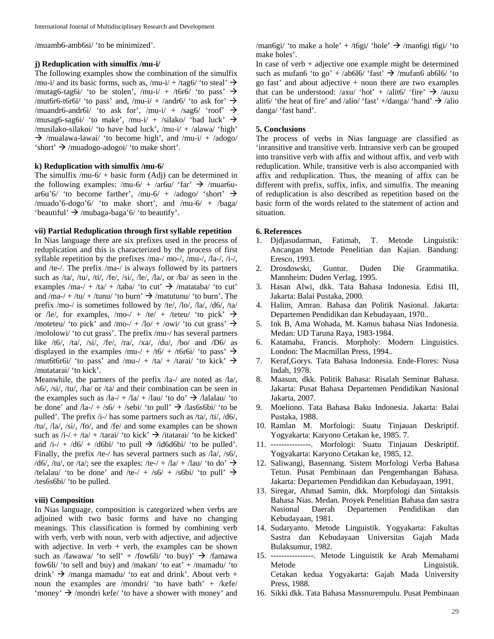/muamb6-amb6si/ 'to be minimized'.

#### **j) Reduplication with simulfix /mu-i/**

The following examples show the combination of the simulfix /mu-i/ and its basic forms, such as, /mu-i/ + /tag6/ 'to steal'  $\rightarrow$ /mutag6-tag6i/ 'to be stolen', /mu-i/ + /t6r6/ 'to pass'  $\rightarrow$ /mut6r6-t6r6i/ 'to pass' and, /mu-i/ + /andr6/ 'to ask for'  $\rightarrow$ /muandr6-andr6i/ 'to ask for', /mu-i/ + /sag6/ 'roof'  $\rightarrow$ /musag6-sag6i/ 'to make', /mu-i/ + /silako/ 'bad luck'  $\rightarrow$ /musilako-silakoi/ 'to have bad luck', /mu-i/ + /alawa/ 'high'  $\rightarrow$  /mualawa-lawai/ 'to become high', and /mu-i/ + /adogo/ 'short'  $\rightarrow$  /muadogo-adogoi/ 'to make short'.

# **k) Reduplication with simulfix /mu-6/**

The simulfix  $/mu-6/ + basic form (Adj) can be determined in$ the following examples: /mu-6/ + /ar6u/ 'far'  $\rightarrow$  /muar6uar6u'6/ 'to become farther', /mu-6/ + /adogo/ 'short'  $\rightarrow$ /muado'6-dogo'6/ 'to make short', and /mu-6/ + /baga/ 'beautiful'  $\rightarrow$  /mubaga-baga'6/' to beautify'.

# **vii) Partial Reduplication through first syllable repetition**

In Nias language there are six prefixes used in the process of reduplication and this is characterized by the process of first syllable repetition by the prefixes /ma-/ mo-/, /mu-/, /la-/, /i-/, and /te-/. The prefix /ma-/ is always followed by its partners such as /ta/, /tu/, /ti/, /fe/, /si/, /le/, /la/, or /ba/ as seen in the examples /ma-/ + /ta/ + /taba/ 'to cut'  $\rightarrow$  /matataba/ 'to cut' and /ma-/ + /tu/ + /tunu/ 'to burn'  $\rightarrow$  /matutunu/ 'to burn'. The prefix /mo-/ is sometimes followed by /te/, /lo/, /la/, /d6/, /ta/ or /le/, for examples, /mo-/ + /te/ + /teteu/ 'to pick'  $\rightarrow$ /moteteu/ 'to pick' and /mo-/ + /lo/ + /owi/ 'to cut grass'  $\rightarrow$ /mololowi/ 'to cut grass'. The prefix /mu-/ has several partners like /t6/, /ta/, /si/, /fe/, /ra/, /xa/, /du/, /bo/ and  $\overline{D6}$ / as displayed in the examples /mu-/ + /t6/ + /t6r6i/ 'to pass'  $\rightarrow$ /mut6t6r6i/ 'to pass' and /mu-/ + /ta/ + /tarai/ 'to kick'  $\rightarrow$ /mutatarai/ 'to kick'.

Meanwhile, the partners of the prefix /la-/ are noted as /la/, /s6/, /si/, /tu/, /ha/ or /ta/ and their combination can be seen in the examples such as  $\lambda$ la- $/ + \lambda$ la $/ + \lambda$ lau/ 'to do'  $\rightarrow \lambda$ lalalau/ 'to be done' and  $/4a$ - $/ + /s6/ + /sebi/$  'to pull'  $\rightarrow$   $/$ las6s6bi/ 'to be pulled'. The prefix /i-/ has some partners such as /ta/, /ti/, /d6/, /tu/, /la/, /si/, /fo/, and /fe/ and some examples can be shown such as  $/i$ -/ +  $/ia$ / +  $/tanai$ / 'to kick'  $\rightarrow$  /itatarai/ 'to be kicked' and  $/i$ -/ +  $/d6$ / +  $/d6bi$  'to pull  $\rightarrow$  /id6d6bi/ 'to be pulled'. Finally, the prefix /te-/ has several partners such as /la/, /s6/, /d6/, /tu/, or /ta/; see the exaples: /te-/ + /la/ + /lau/ 'to do'  $\rightarrow$ /telalau/ 'to be done' and /te-/ + /s6/ + /s6bi/ 'to pull'  $\rightarrow$ /tes6s6bi/ 'to be pulled.

### **viii) Composition**

In Nias language, composition is categorized when verbs are adjoined with two basic forms and have no changing meanings. This classification is formed by combining verb with verb, verb with noun, verb with adjective, and adjective with adjective. In verb  $+$  verb, the examples can be shown such as /fawawa/ 'to sell' + /fow6li/ 'to buy)'  $\rightarrow$  /famawa fow6li/ 'to sell and buy) and /makan/ 'to eat' + /mamadu/ 'to drink'  $\rightarrow$  /manga mamadu/ 'to eat and drink'. About verb + noun the examples are /mondri/ 'to have bath' + /kefe/ 'money'  $\rightarrow$  /mondri kefe/ 'to have a shower with money' and

/man6gi/ 'to make a hole' + /t6gi/ 'hole'  $\rightarrow$  /man6gi t6gi/ 'to make holes'.

In case of verb  $+$  adjective one example might be determined such as mufan6 'to go' + /ab6l6/ 'fast'  $\rightarrow$  /mufan6 ab6l6/ 'to go fast' and about adjective  $+$  noun there are two examples that can be understood: /axu/ 'hot' + /alit6/ 'fire'  $\rightarrow$  /auxu alit6/ 'the heat of fire' and /alio/ 'fast' +/danga/ 'hand'  $\rightarrow$  /alio danga/ 'fast hand'.

### **5. Conclusions**

The process of verbs in Nias language are classified as 'inransitive and transitive verb. Intransive verb can be grouped into transitive verb with affix and without affix, and verb with reduplication. While, transitive verb is also accompanied with affix and reduplication. Thus, the meaning of affix can be different with prefix, suffix, infix, and simulfix. The meaning of reduplication is also described as repetition based on the basic form of the words related to the statement of action and situation.

# **6. References**

- 1. Djdjasudarman, Fatimah, T. Metode Linguistik: Ancangan Metode Penelitian dan Kajian. Bandung: Eresco, 1993.
- 2. Drosdowski, Guntur. Duden Die Grammatika. Mannheim: Duden Verlag, 1995.
- 3. Hasan Alwi, dkk. Tata Bahasa Indonesia. Edisi III, Jakarta: Balai Pustaka, 2000.
- 4. Halim, Amran. Bahasa dan Politik Nasional. Jakarta: Departemen Pendidikan dan Kebudayaan, 1970..
- 5. Ink B, Ama Wohada, M. Kamus bahasa Nias Indonesia. Medan: UD Taruna Raya, 1983-1984.
- 6. Katamaba, Francis. Morpholy: Modern Linguistics. London: The Macmillan Press, 1994..
- 7. Keraf,Gorys. Tata Bahasa Indonesia. Ende-Flores: Nusa Indah, 1978.
- 8. Maasun, dkk. Politik Bahasa: Risalah Seminar Bahasa. Jakarta: Pusat Bahasa Departemen Pendidikan Nasional Jakarta, 2007.
- 9. Moeliono. Tata Bahasa Baku Indonesia. Jakarta: Balai Pustaka, 1988.
- 10. Ramlan M. Morfologi: Suatu Tinjauan Deskriptif. Yogyakarta: Karyono Cetakan ke, 1985. 7.
- 11. ---------------. Morfologi: Suatu Tinjauan Deskriptif. Yogyakarta: Karyono Cetakan ke, 1985, 12.
- 12. Saliwangi, Basennang. Sistem Morfologi Verba Bahasa Tetun. Pusat Pembinaan dan Pengembangan Bahasa. Jakarta: Departemen Pendidikan dan Kebudayaan, 1991.
- 13. Siregar, Ahmad Samin, dkk. Morpfologi dan Sintaksis Bahasa Nias. Medan. Proyek Penelitian Bahasa dan sastra Nasional Daerah Departemen Pendidikan dan Kebudayaan, 1981.
- 14. Sudaryanto. Metode Linguistik. Yogyakarta: Fakultas Sastra dan Kebudayaan Universitas Gajah Mada Bulaksumur, 1982.
- 15. ----------------. Metode Linguistik ke Arah Memahami Metode Linguistik. Cetakan kedua Yogyakarta: Gajah Mada University Press, 1988.
- 16. Sikki dkk. Tata Bahasa Massnurempulu. Pusat Pembinaan